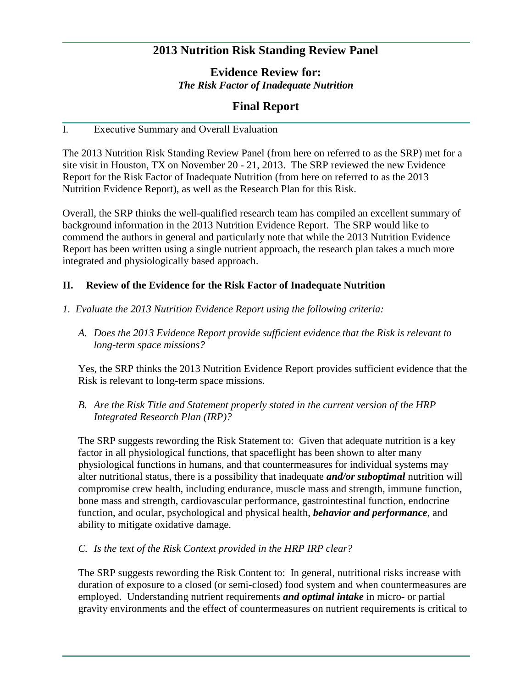# **2013 Nutrition Risk Standing Review Panel**

**Evidence Review for:** *The Risk Factor of Inadequate Nutrition*

## **Final Report**

## I. Executive Summary and Overall Evaluation

The 2013 Nutrition Risk Standing Review Panel (from here on referred to as the SRP) met for a site visit in Houston, TX on November 20 - 21, 2013. The SRP reviewed the new Evidence Report for the Risk Factor of Inadequate Nutrition (from here on referred to as the 2013 Nutrition Evidence Report), as well as the Research Plan for this Risk.

Overall, the SRP thinks the well-qualified research team has compiled an excellent summary of background information in the 2013 Nutrition Evidence Report. The SRP would like to commend the authors in general and particularly note that while the 2013 Nutrition Evidence Report has been written using a single nutrient approach, the research plan takes a much more integrated and physiologically based approach.

#### **II. Review of the Evidence for the Risk Factor of Inadequate Nutrition**

- *1. Evaluate the 2013 Nutrition Evidence Report using the following criteria:*
	- *A. Does the 2013 Evidence Report provide sufficient evidence that the Risk is relevant to long-term space missions?*

Yes, the SRP thinks the 2013 Nutrition Evidence Report provides sufficient evidence that the Risk is relevant to long-term space missions.

*B. Are the Risk Title and Statement properly stated in the current version of the HRP Integrated Research Plan (IRP)?*

The SRP suggests rewording the Risk Statement to: Given that adequate nutrition is a key factor in all physiological functions, that spaceflight has been shown to alter many physiological functions in humans, and that countermeasures for individual systems may alter nutritional status, there is a possibility that inadequate *and/or suboptimal* nutrition will compromise crew health, including endurance, muscle mass and strength, immune function, bone mass and strength, cardiovascular performance, gastrointestinal function, endocrine function, and ocular, psychological and physical health, *behavior and performance*, and ability to mitigate oxidative damage.

#### *C. Is the text of the Risk Context provided in the HRP IRP clear?*

The SRP suggests rewording the Risk Content to: In general, nutritional risks increase with duration of exposure to a closed (or semi-closed) food system and when countermeasures are employed. Understanding nutrient requirements *and optimal intake* in micro- or partial gravity environments and the effect of countermeasures on nutrient requirements is critical to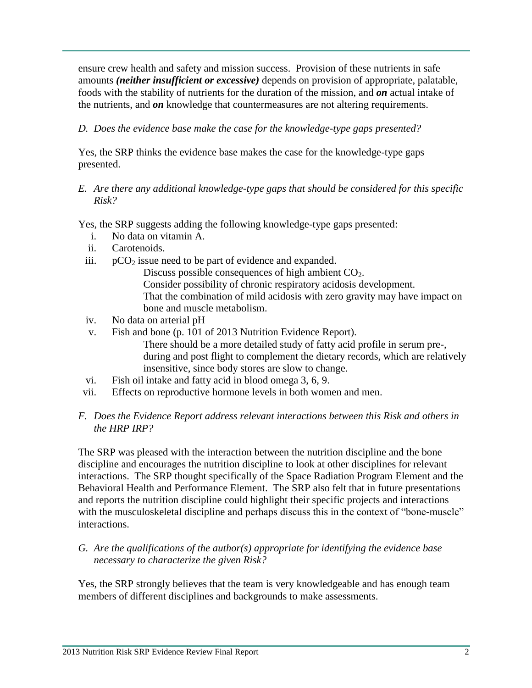ensure crew health and safety and mission success. Provision of these nutrients in safe amounts *(neither insufficient or excessive)* depends on provision of appropriate, palatable, foods with the stability of nutrients for the duration of the mission, and *on* actual intake of the nutrients, and *on* knowledge that countermeasures are not altering requirements.

## *D. Does the evidence base make the case for the knowledge-type gaps presented?*

Yes, the SRP thinks the evidence base makes the case for the knowledge-type gaps presented.

### *E. Are there any additional knowledge-type gaps that should be considered for this specific Risk?*

Yes, the SRP suggests adding the following knowledge-type gaps presented:

- i. No data on vitamin A.
- ii. Carotenoids.
- iii.  $pCO<sub>2</sub>$  issue need to be part of evidence and expanded.

Discuss possible consequences of high ambient  $CO<sub>2</sub>$ . Consider possibility of chronic respiratory acidosis development. That the combination of mild acidosis with zero gravity may have impact on bone and muscle metabolism.

- iv. No data on arterial pH
- v. Fish and bone (p. 101 of 2013 Nutrition Evidence Report). There should be a more detailed study of fatty acid profile in serum pre-, during and post flight to complement the dietary records, which are relatively insensitive, since body stores are slow to change.
- vi. Fish oil intake and fatty acid in blood omega 3, 6, 9.
- vii. Effects on reproductive hormone levels in both women and men.

## *F. Does the Evidence Report address relevant interactions between this Risk and others in the HRP IRP?*

The SRP was pleased with the interaction between the nutrition discipline and the bone discipline and encourages the nutrition discipline to look at other disciplines for relevant interactions. The SRP thought specifically of the Space Radiation Program Element and the Behavioral Health and Performance Element. The SRP also felt that in future presentations and reports the nutrition discipline could highlight their specific projects and interactions with the musculoskeletal discipline and perhaps discuss this in the context of "bone-muscle" interactions.

*G. Are the qualifications of the author(s) appropriate for identifying the evidence base necessary to characterize the given Risk?*

Yes, the SRP strongly believes that the team is very knowledgeable and has enough team members of different disciplines and backgrounds to make assessments.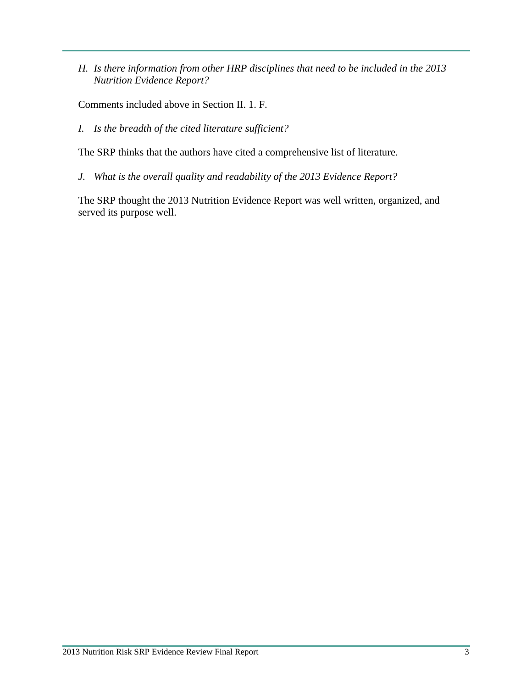*H. Is there information from other HRP disciplines that need to be included in the 2013 Nutrition Evidence Report?*

Comments included above in Section II. 1. F.

*I. Is the breadth of the cited literature sufficient?*

The SRP thinks that the authors have cited a comprehensive list of literature.

*J. What is the overall quality and readability of the 2013 Evidence Report?*

The SRP thought the 2013 Nutrition Evidence Report was well written, organized, and served its purpose well.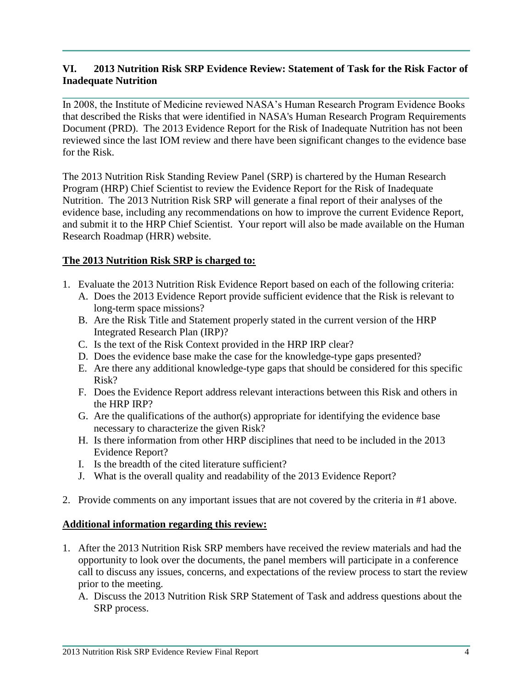## **VI. 2013 Nutrition Risk SRP Evidence Review: Statement of Task for the Risk Factor of Inadequate Nutrition**

In 2008, the Institute of Medicine reviewed NASA's Human Research Program Evidence Books that described the Risks that were identified in NASA's Human Research Program Requirements Document (PRD). The 2013 Evidence Report for the Risk of Inadequate Nutrition has not been reviewed since the last IOM review and there have been significant changes to the evidence base for the Risk.

The 2013 Nutrition Risk Standing Review Panel (SRP) is chartered by the Human Research Program (HRP) Chief Scientist to review the Evidence Report for the Risk of Inadequate Nutrition. The 2013 Nutrition Risk SRP will generate a final report of their analyses of the evidence base, including any recommendations on how to improve the current Evidence Report, and submit it to the HRP Chief Scientist. Your report will also be made available on the Human Research Roadmap (HRR) website.

## **The 2013 Nutrition Risk SRP is charged to:**

- 1. Evaluate the 2013 Nutrition Risk Evidence Report based on each of the following criteria:
	- A. Does the 2013 Evidence Report provide sufficient evidence that the Risk is relevant to long-term space missions?
	- B. Are the Risk Title and Statement properly stated in the current version of the HRP Integrated Research Plan (IRP)?
	- C. Is the text of the Risk Context provided in the HRP IRP clear?
	- D. Does the evidence base make the case for the knowledge-type gaps presented?
	- E. Are there any additional knowledge-type gaps that should be considered for this specific Risk?
	- F. Does the Evidence Report address relevant interactions between this Risk and others in the HRP IRP?
	- G. Are the qualifications of the author(s) appropriate for identifying the evidence base necessary to characterize the given Risk?
	- H. Is there information from other HRP disciplines that need to be included in the 2013 Evidence Report?
	- I. Is the breadth of the cited literature sufficient?
	- J. What is the overall quality and readability of the 2013 Evidence Report?
- 2. Provide comments on any important issues that are not covered by the criteria in #1 above.

#### **Additional information regarding this review:**

- 1. After the 2013 Nutrition Risk SRP members have received the review materials and had the opportunity to look over the documents, the panel members will participate in a conference call to discuss any issues, concerns, and expectations of the review process to start the review prior to the meeting.
	- A. Discuss the 2013 Nutrition Risk SRP Statement of Task and address questions about the SRP process.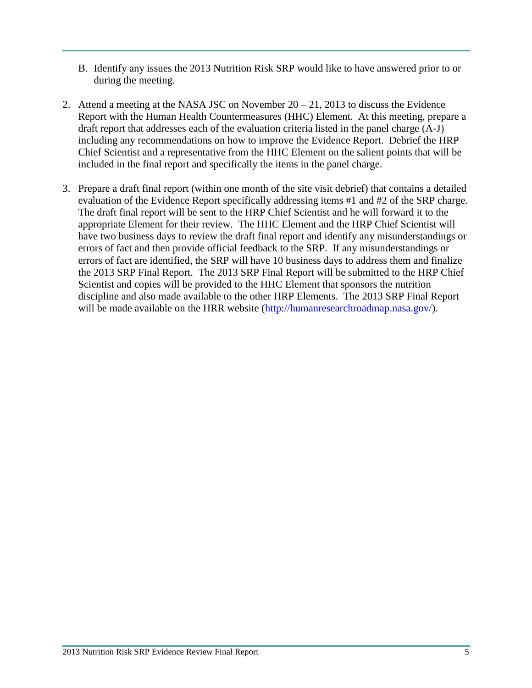- B. Identify any issues the 2013 Nutrition Risk SRP would like to have answered prior to or during the meeting.
- 2. Attend a meeting at the NASA JSC on November 20 21, 2013 to discuss the Evidence Report with the Human Health Countermeasures (HHC) Element. At this meeting, prepare a draft report that addresses each of the evaluation criteria listed in the panel charge (A-J) including any recommendations on how to improve the Evidence Report. Debrief the HRP Chief Scientist and a representative from the HHC Element on the salient points that will be included in the final report and specifically the items in the panel charge.
- 3. Prepare a draft final report (within one month of the site visit debrief) that contains a detailed evaluation of the Evidence Report specifically addressing items #1 and #2 of the SRP charge. The draft final report will be sent to the HRP Chief Scientist and he will forward it to the appropriate Element for their review. The HHC Element and the HRP Chief Scientist will have two business days to review the draft final report and identify any misunderstandings or errors of fact and then provide official feedback to the SRP. If any misunderstandings or errors of fact are identified, the SRP will have 10 business days to address them and finalize the 2013 SRP Final Report. The 2013 SRP Final Report will be submitted to the HRP Chief Scientist and copies will be provided to the HHC Element that sponsors the nutrition discipline and also made available to the other HRP Elements. The 2013 SRP Final Report will be made available on the HRR website [\(http://humanresearchroadmap.nasa.gov/\)](http://humanresearchroadmap.nasa.gov/).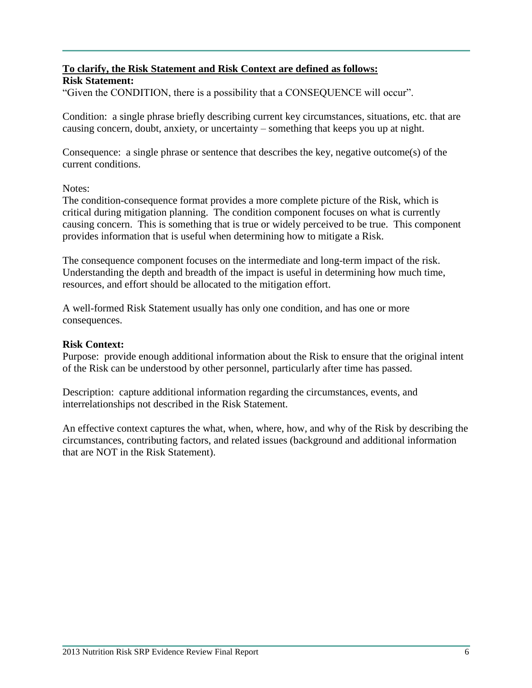# **To clarify, the Risk Statement and Risk Context are defined as follows:**

### **Risk Statement:**

"Given the CONDITION, there is a possibility that a CONSEQUENCE will occur".

Condition: a single phrase briefly describing current key circumstances, situations, etc. that are causing concern, doubt, anxiety, or uncertainty – something that keeps you up at night.

Consequence: a single phrase or sentence that describes the key, negative outcome(s) of the current conditions.

#### Notes:

The condition-consequence format provides a more complete picture of the Risk, which is critical during mitigation planning. The condition component focuses on what is currently causing concern. This is something that is true or widely perceived to be true. This component provides information that is useful when determining how to mitigate a Risk.

The consequence component focuses on the intermediate and long-term impact of the risk. Understanding the depth and breadth of the impact is useful in determining how much time, resources, and effort should be allocated to the mitigation effort.

A well-formed Risk Statement usually has only one condition, and has one or more consequences.

#### **Risk Context:**

Purpose: provide enough additional information about the Risk to ensure that the original intent of the Risk can be understood by other personnel, particularly after time has passed.

Description: capture additional information regarding the circumstances, events, and interrelationships not described in the Risk Statement.

An effective context captures the what, when, where, how, and why of the Risk by describing the circumstances, contributing factors, and related issues (background and additional information that are NOT in the Risk Statement).